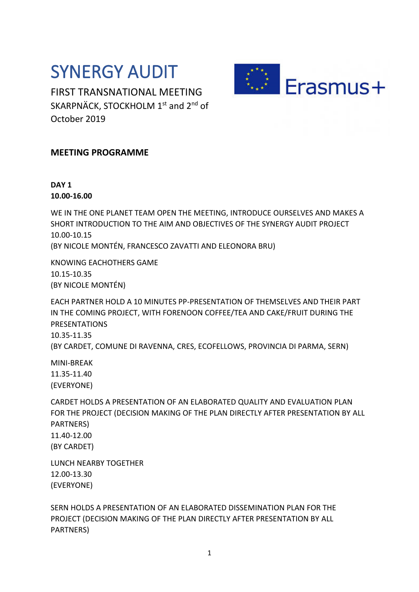## SYNERGY AUDIT

FIRST TRANSNATIONAL MEETING SKARPNÄCK, STOCKHOLM 1<sup>st</sup> and 2<sup>nd</sup> of October 2019



## **MEETING PROGRAMME**

## **DAY 1 10.00-16.00**

WE IN THE ONE PLANET TEAM OPEN THE MEETING, INTRODUCE OURSELVES AND MAKES A SHORT INTRODUCTION TO THE AIM AND OBJECTIVES OF THE SYNERGY AUDIT PROJECT 10.00-10.15

(BY NICOLE MONTÉN, FRANCESCO ZAVATTI AND ELEONORA BRU)

KNOWING EACHOTHERS GAME 10.15-10.35 (BY NICOLE MONTÉN)

EACH PARTNER HOLD A 10 MINUTES PP-PRESENTATION OF THEMSELVES AND THEIR PART IN THE COMING PROJECT, WITH FORENOON COFFEE/TEA AND CAKE/FRUIT DURING THE PRESENTATIONS 10.35-11.35 (BY CARDET, COMUNE DI RAVENNA, CRES, ECOFELLOWS, PROVINCIA DI PARMA, SERN)

MINI-BREAK 11.35-11.40 (EVERYONE)

CARDET HOLDS A PRESENTATION OF AN ELABORATED QUALITY AND EVALUATION PLAN FOR THE PROJECT (DECISION MAKING OF THE PLAN DIRECTLY AFTER PRESENTATION BY ALL PARTNERS) 11.40-12.00 (BY CARDET)

LUNCH NEARBY TOGETHER 12.00-13.30 (EVERYONE)

SERN HOLDS A PRESENTATION OF AN ELABORATED DISSEMINATION PLAN FOR THE PROJECT (DECISION MAKING OF THE PLAN DIRECTLY AFTER PRESENTATION BY ALL PARTNERS)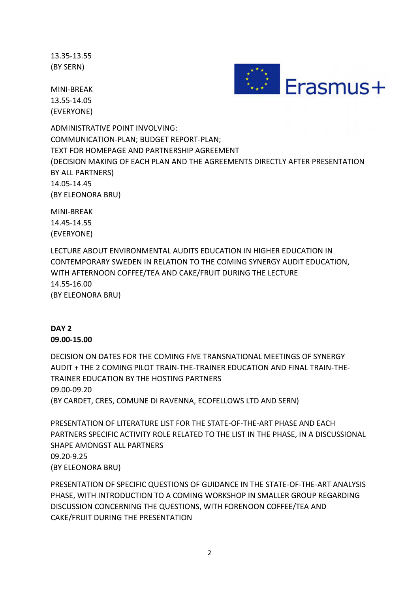13.35-13.55 (BY SERN)

MINI-BREAK 13.55-14.05 (EVERYONE)



ADMINISTRATIVE POINT INVOLVING: COMMUNICATION-PLAN; BUDGET REPORT-PLAN; TEXT FOR HOMEPAGE AND PARTNERSHIP AGREEMENT (DECISION MAKING OF EACH PLAN AND THE AGREEMENTS DIRECTLY AFTER PRESENTATION BY ALL PARTNERS) 14.05-14.45 (BY ELEONORA BRU)

MINI-BREAK 14.45-14.55 (EVERYONE)

LECTURE ABOUT ENVIRONMENTAL AUDITS EDUCATION IN HIGHER EDUCATION IN CONTEMPORARY SWEDEN IN RELATION TO THE COMING SYNERGY AUDIT EDUCATION, WITH AFTERNOON COFFEE/TEA AND CAKE/FRUIT DURING THE LECTURE 14.55-16.00 (BY ELEONORA BRU)

## **DAY 2 09.00-15.00**

DECISION ON DATES FOR THE COMING FIVE TRANSNATIONAL MEETINGS OF SYNERGY AUDIT + THE 2 COMING PILOT TRAIN-THE-TRAINER EDUCATION AND FINAL TRAIN-THE-TRAINER EDUCATION BY THE HOSTING PARTNERS 09.00-09.20 (BY CARDET, CRES, COMUNE DI RAVENNA, ECOFELLOWS LTD AND SERN)

PRESENTATION OF LITERATURE LIST FOR THE STATE-OF-THE-ART PHASE AND EACH PARTNERS SPECIFIC ACTIVITY ROLE RELATED TO THE LIST IN THE PHASE, IN A DISCUSSIONAL SHAPE AMONGST ALL PARTNERS 09.20-9.25 (BY ELEONORA BRU)

PRESENTATION OF SPECIFIC QUESTIONS OF GUIDANCE IN THE STATE-OF-THE-ART ANALYSIS PHASE, WITH INTRODUCTION TO A COMING WORKSHOP IN SMALLER GROUP REGARDING DISCUSSION CONCERNING THE QUESTIONS, WITH FORENOON COFFEE/TEA AND CAKE/FRUIT DURING THE PRESENTATION